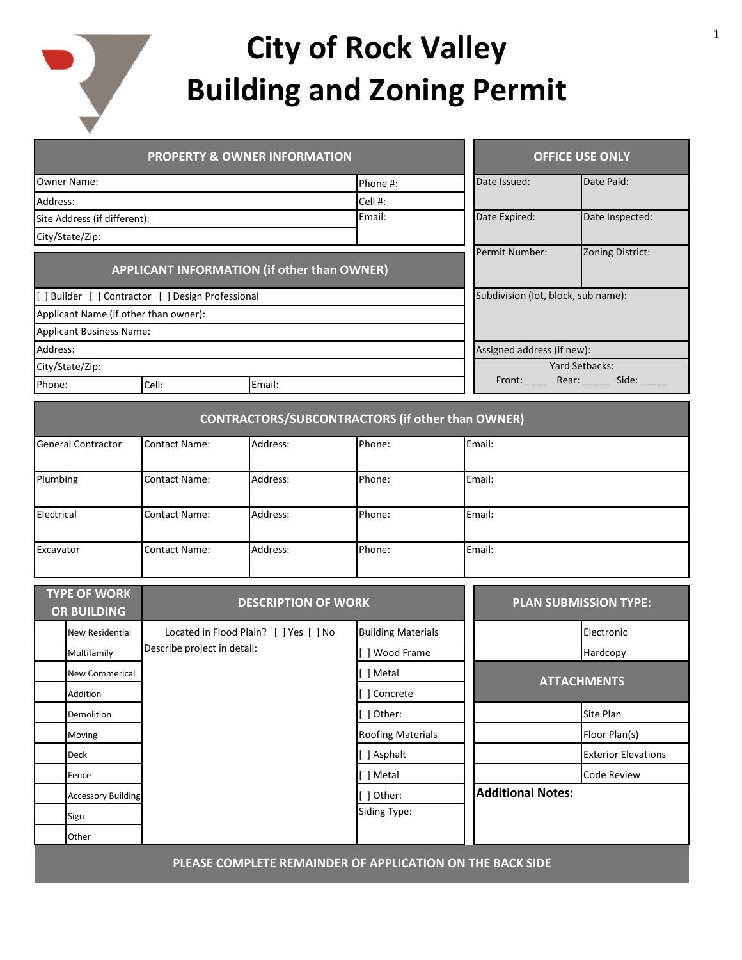

## **City of Rock Valley Building and Zoning Permit**

| <b>PROPERTY &amp; OWNER INFORMATION</b>     |                                            |                                                    |                                                           | <b>OFFICE USE ONLY</b>    |                                                          |                              |  |
|---------------------------------------------|--------------------------------------------|----------------------------------------------------|-----------------------------------------------------------|---------------------------|----------------------------------------------------------|------------------------------|--|
| Owner Name:                                 |                                            |                                                    | Phone #:                                                  | Date Issued:              | Date Paid:                                               |                              |  |
| Address:                                    |                                            |                                                    |                                                           | Cell #:                   |                                                          |                              |  |
|                                             | Site Address (if different):               |                                                    |                                                           | Email:                    | Date Expired:                                            | Date Inspected:              |  |
| City/State/Zip:                             |                                            |                                                    |                                                           |                           |                                                          |                              |  |
| APPLICANT INFORMATION (if other than OWNER) |                                            |                                                    |                                                           |                           | Permit Number:                                           | Zoning District:             |  |
|                                             |                                            | [ ] Builder [ ] Contractor [ ] Design Professional |                                                           |                           | Subdivision (lot, block, sub name):                      |                              |  |
|                                             | Applicant Name (if other than owner):      |                                                    |                                                           |                           |                                                          |                              |  |
|                                             | <b>Applicant Business Name:</b>            |                                                    |                                                           |                           |                                                          |                              |  |
| Address:                                    |                                            |                                                    |                                                           |                           | Assigned address (if new):                               |                              |  |
|                                             | City/State/Zip:                            |                                                    |                                                           |                           | Yard Setbacks:<br>Front: ______ Rear: ______ Side: _____ |                              |  |
| Phone:                                      |                                            | Cell:                                              | Email:                                                    |                           |                                                          |                              |  |
|                                             |                                            |                                                    | <b>CONTRACTORS/SUBCONTRACTORS (if other than OWNER)</b>   |                           |                                                          |                              |  |
| <b>General Contractor</b>                   |                                            | <b>Contact Name:</b>                               | Address:                                                  | Phone:                    | Email:                                                   |                              |  |
| Plumbing                                    |                                            | Contact Name:                                      | Address:                                                  | Phone:                    | Email:                                                   |                              |  |
| Electrical                                  |                                            | <b>Contact Name:</b>                               | Address:                                                  | Phone:                    | Email:                                                   |                              |  |
| Excavator                                   |                                            | <b>Contact Name:</b>                               | Address:                                                  | Phone:                    | Email:                                                   |                              |  |
|                                             | <b>TYPE OF WORK</b>                        |                                                    | <b>DESCRIPTION OF WORK</b>                                |                           |                                                          | <b>PLAN SUBMISSION TYPE:</b> |  |
| <b>OR BUILDING</b>                          |                                            |                                                    |                                                           |                           |                                                          |                              |  |
| New Residential                             |                                            |                                                    | Located in Flood Plain? [ ] Yes [ ] No                    | <b>Building Materials</b> |                                                          | Electronic                   |  |
|                                             | Describe project in detail:<br>Multifamily |                                                    | [] Wood Frame                                             |                           | Hardcopy                                                 |                              |  |
| New Commerical                              |                                            |                                                    | i 1 Metal                                                 |                           | <b>ATTACHMENTS</b>                                       |                              |  |
| Addition                                    |                                            |                                                    |                                                           | [ ] Concrete              |                                                          |                              |  |
|                                             | Demolition                                 |                                                    |                                                           | [ ] Other:                |                                                          | Site Plan                    |  |
|                                             | Moving                                     |                                                    |                                                           | <b>Roofing Materials</b>  |                                                          | Floor Plan(s)                |  |
|                                             | Deck                                       |                                                    |                                                           | [ ] Asphalt               |                                                          | <b>Exterior Elevations</b>   |  |
|                                             | Fence                                      |                                                    |                                                           | [ ] Metal                 |                                                          | <b>Code Review</b>           |  |
|                                             | <b>Accessory Building</b>                  |                                                    | [ ] Other:                                                | <b>Additional Notes:</b>  |                                                          |                              |  |
|                                             | Sign                                       |                                                    |                                                           | Siding Type:              |                                                          |                              |  |
|                                             | Other                                      |                                                    |                                                           |                           |                                                          |                              |  |
|                                             |                                            |                                                    | PLEASE COMPLETE REMAINDER OF APPLICATION ON THE BACK SIDE |                           |                                                          |                              |  |